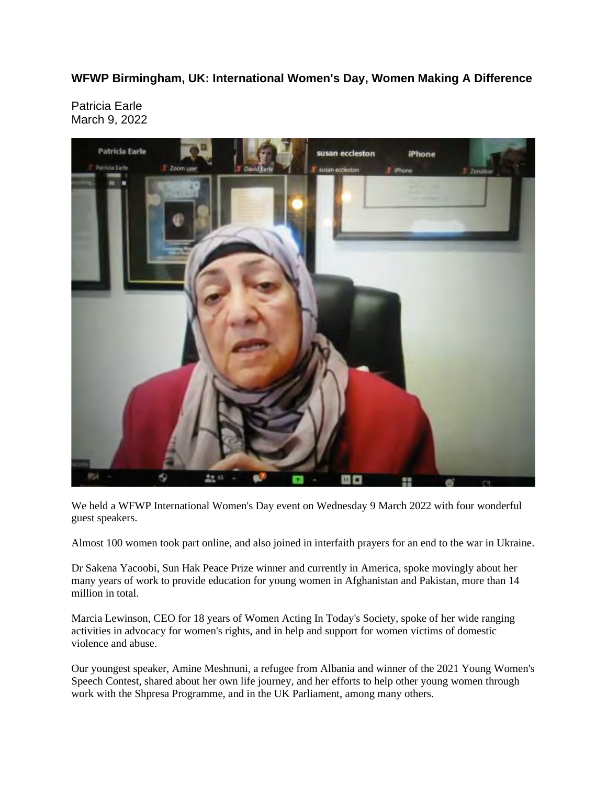**WFWP Birmingham, UK: International Women's Day, Women Making A Difference**

Patricia Earle March 9, 2022



We held a WFWP International Women's Day event on Wednesday 9 March 2022 with four wonderful guest speakers.

Almost 100 women took part online, and also joined in interfaith prayers for an end to the war in Ukraine.

Dr Sakena Yacoobi, Sun Hak Peace Prize winner and currently in America, spoke movingly about her many years of work to provide education for young women in Afghanistan and Pakistan, more than 14 million in total.

Marcia Lewinson, CEO for 18 years of Women Acting In Today's Society, spoke of her wide ranging activities in advocacy for women's rights, and in help and support for women victims of domestic violence and abuse.

Our youngest speaker, Amine Meshnuni, a refugee from Albania and winner of the 2021 Young Women's Speech Contest, shared about her own life journey, and her efforts to help other young women through work with the Shpresa Programme, and in the UK Parliament, among many others.